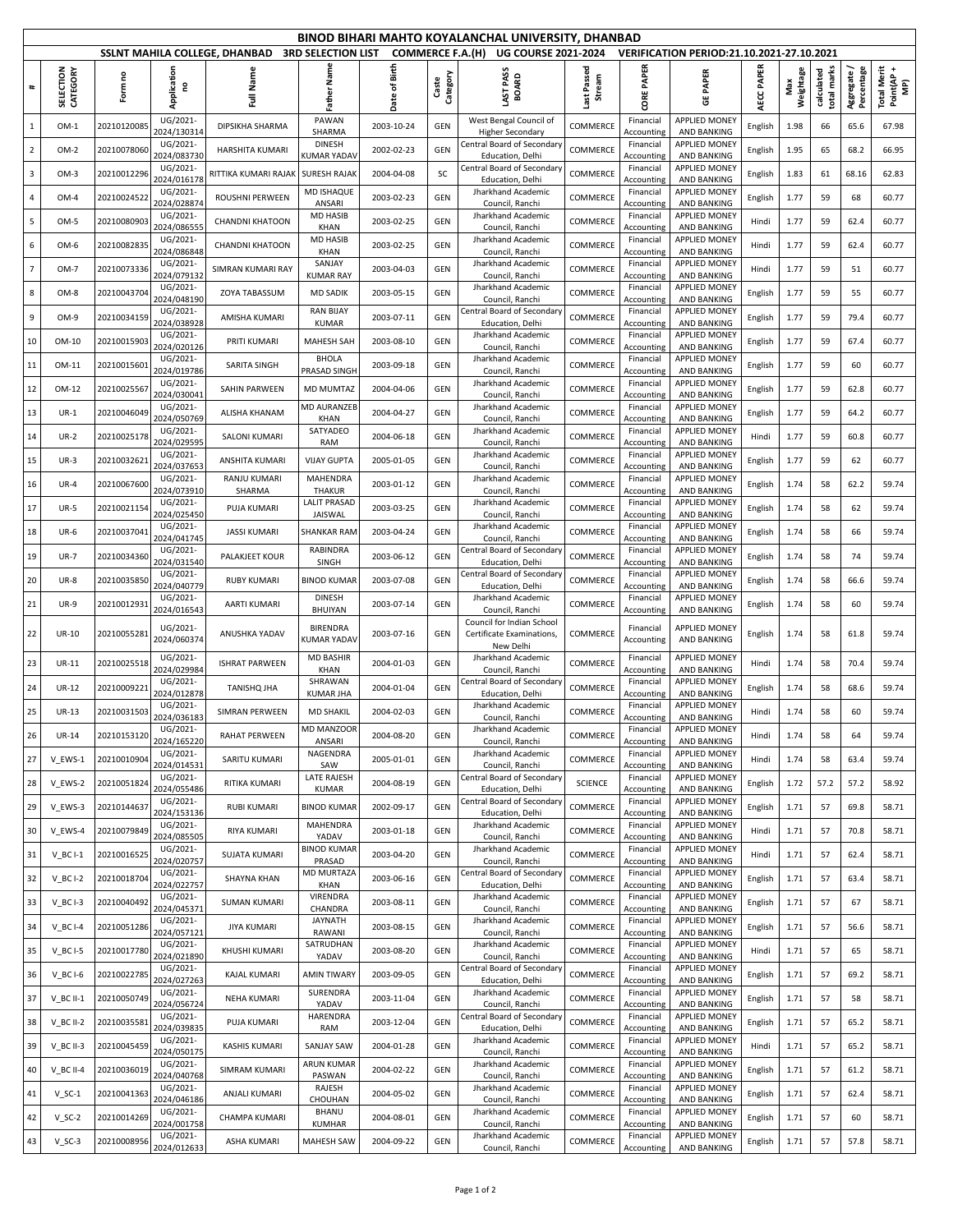|                         | BINOD BIHARI MAHTO KOYALANCHAL UNIVERSITY, DHANBAD<br>SSLNT MAHILA COLLEGE, DHANBAD<br><b>3RD SELECTION LIST</b><br><b>COMMERCE F.A.(H)</b><br><b>UG COURSE 2021-2024</b><br>VERIFICATION PERIOD:21.10.2021-27.10.2021 |             |                         |                        |                                      |                  |                   |                                                                           |                       |                         |                                            |            |                  |                              |                           |                                  |
|-------------------------|------------------------------------------------------------------------------------------------------------------------------------------------------------------------------------------------------------------------|-------------|-------------------------|------------------------|--------------------------------------|------------------|-------------------|---------------------------------------------------------------------------|-----------------------|-------------------------|--------------------------------------------|------------|------------------|------------------------------|---------------------------|----------------------------------|
|                         |                                                                                                                                                                                                                        |             |                         |                        |                                      |                  |                   |                                                                           |                       |                         |                                            |            |                  |                              |                           |                                  |
| #                       | SELECTION<br>CATEGORY                                                                                                                                                                                                  | Form no     | Application<br>ဥ        | Name<br>Ē              | Father Nan                           | of Birth<br>Date | Category<br>Caste | AST PASS<br><b>BOARD</b>                                                  | Last Passed<br>Stream | PAPER<br>CORE           | <b>GE PAPER</b>                            | AECC PAPER | Weightage<br>Max | marks<br>calculated<br>total | Aggregate /<br>Percentage | Total Merit<br>Point(AP +<br>MP) |
| $\mathbf{1}$            | OM-1                                                                                                                                                                                                                   | 20210120085 | UG/2021-<br>2024/130314 | DIPSIKHA SHARMA        | PAWAN<br>SHARMA                      | 2003-10-24       | GEN               | West Bengal Council of<br><b>Higher Secondary</b>                         | COMMERCE              | Financial<br>Accounting | APPLIED MONEY<br>AND BANKING               | English    | 1.98             | 66                           | 65.6                      | 67.98                            |
| $\overline{2}$          | OM-2                                                                                                                                                                                                                   | 2021007806  | UG/2021-<br>2024/083730 | <b>HARSHITA KUMARI</b> | <b>DINESH</b><br>KUMAR YADA\         | 2002-02-23       | GEN               | Central Board of Secondary<br>Education, Delhi                            | COMMERCE              | Financial<br>Accounting | <b>APPLIED MONEY</b><br><b>AND BANKING</b> | English    | 1.95             | 65                           | 68.2                      | 66.95                            |
| 3                       | $OM-3$                                                                                                                                                                                                                 | 2021001229  | UG/2021-<br>2024/016178 | RITTIKA KUMARI RAJAK   | <b>SURESH RAJAK</b>                  | 2004-04-08       | SC                | Central Board of Secondary<br>Education, Delhi                            | COMMERCE              | Financial<br>Accounting | <b>APPLIED MONEY</b><br>AND BANKING        | English    | 1.83             | 61                           | 68.16                     | 62.83                            |
| $\overline{\mathbf{4}}$ | OM-4                                                                                                                                                                                                                   | 2021002452  | UG/2021-<br>2024/028874 | <b>ROUSHNI PERWEEN</b> | <b>MD ISHAQUE</b><br>ANSARI          | 2003-02-23       | GEN               | Jharkhand Academic<br>Council, Ranchi                                     | COMMERCE              | Financial<br>Accounting | <b>APPLIED MONEY</b><br>AND BANKING        | English    | 1.77             | 59                           | 68                        | 60.77                            |
| 5                       | OM-5                                                                                                                                                                                                                   | 2021008090  | UG/2021-<br>2024/08655! | <b>CHANDNI KHATOON</b> | <b>MD HASIB</b><br>KHAN              | 2003-02-25       | GEN               | Jharkhand Academic<br>Council, Ranchi                                     | COMMERCE              | Financial<br>Accounting | APPLIED MONEY<br>AND BANKING               | Hindi      | 1.77             | 59                           | 62.4                      | 60.77                            |
| 6                       | OM-6                                                                                                                                                                                                                   | 2021008283  | UG/2021-<br>2024/086848 | <b>CHANDNI KHATOON</b> | <b>MD HASIB</b><br>KHAN              | 2003-02-25       | GEN               | Jharkhand Academic<br>Council, Ranchi                                     | COMMERCE              | Financial<br>Accounting | <b>APPLIED MONEY</b><br>AND BANKING        | Hindi      | 1.77             | 59                           | 62.4                      | 60.77                            |
| $\overline{7}$          | OM-7                                                                                                                                                                                                                   | 2021007333  | UG/2021-<br>2024/079132 | SIMRAN KUMARI RAY      | SANJAY<br><b>KUMAR RAY</b>           | 2003-04-03       | GEN               | Jharkhand Academic<br>Council, Ranchi                                     | COMMERCE              | Financial<br>Accounting | <b>APPLIED MONEY</b><br>AND BANKING        | Hindi      | 1.77             | 59                           | 51                        | 60.77                            |
| 8                       | $OM-8$                                                                                                                                                                                                                 | 20210043704 | UG/2021-<br>2024/048190 | ZOYA TABASSUM          | <b>MD SADIK</b>                      | 2003-05-15       | GEN               | Jharkhand Academic<br>Council, Ranchi                                     | COMMERCE              | Financial<br>Accounting | <b>APPLIED MONEY</b><br>AND BANKING        | English    | 1.77             | 59                           | 55                        | 60.77                            |
| 9                       | OM-9                                                                                                                                                                                                                   | 2021003415  | UG/2021-<br>2024/038928 | AMISHA KUMARI          | <b>RAN BIJAY</b><br><b>KUMAR</b>     | 2003-07-11       | GEN               | Central Board of Secondary<br>Education, Delhi                            | COMMERCE              | Financial<br>Accounting | <b>APPLIED MONEY</b><br>AND BANKING        | English    | 1.77             | 59                           | 79.4                      | 60.77                            |
| 10                      | OM-10                                                                                                                                                                                                                  | 2021001590  | UG/2021-<br>2024/020126 | PRITI KUMARI           | <b>MAHESH SAH</b>                    | 2003-08-10       | GEN               | Jharkhand Academic<br>Council, Ranchi                                     | COMMERCE              | Financial<br>Accounting | <b>APPLIED MONEY</b><br>AND BANKING        | English    | 1.77             | 59                           | 67.4                      | 60.77                            |
| 11                      | OM-11                                                                                                                                                                                                                  | 2021001560  | UG/2021-<br>2024/019786 | <b>SARITA SINGH</b>    | <b>BHOLA</b>                         | 2003-09-18       | GEN               | Jharkhand Academic                                                        | COMMERCE              | Financial               | <b>APPLIED MONEY</b><br><b>AND BANKING</b> | English    | 1.77             | 59                           | 60                        | 60.77                            |
| 12                      | OM-12                                                                                                                                                                                                                  | 2021002556  | UG/2021-                | SAHIN PARWEEN          | PRASAD SINGH<br><b>MD MUMTAZ</b>     | 2004-04-06       | GEN               | Council, Ranchi<br>Jharkhand Academic                                     | COMMERCE              | Accounting<br>Financial | <b>APPLIED MONEY</b>                       | English    | 1.77             | 59                           | 62.8                      | 60.77                            |
| 13                      | $UR-1$                                                                                                                                                                                                                 | 20210046049 | 2024/030041<br>UG/2021- | ALISHA KHANAM          | <b>MD AURANZEE</b>                   | 2004-04-27       | GEN               | Council, Ranchi<br>Jharkhand Academic                                     | COMMERCE              | Accounting<br>Financial | AND BANKING<br><b>APPLIED MONEY</b>        | English    | 1.77             | 59                           | 64.2                      | 60.77                            |
| 14                      | $UR-2$                                                                                                                                                                                                                 | 2021002517  | 2024/050769<br>UG/2021- | <b>SALONI KUMARI</b>   | KHAN<br>SATYADEO                     | 2004-06-18       | GEN               | Council, Ranchi<br>Jharkhand Academic                                     | COMMERCE              | Accounting<br>Financial | AND BANKING<br><b>APPLIED MONEY</b>        | Hindi      | 1.77             | 59                           | 60.8                      | 60.77                            |
| 15                      | $UR-3$                                                                                                                                                                                                                 | 2021003262  | 2024/029595<br>UG/2021- | ANSHITA KUMARI         | RAM<br><b>VIJAY GUPTA</b>            | 2005-01-05       | GEN               | Council, Ranchi<br>Jharkhand Academic                                     | COMMERCE              | Accounting<br>Financial | AND BANKING<br><b>APPLIED MONEY</b>        | English    | 1.77             | 59                           | 62                        | 60.77                            |
| 16                      | $UR-4$                                                                                                                                                                                                                 | 20210067600 | 2024/037653<br>UG/2021- | <b>RANJU KUMARI</b>    | <b>MAHENDRA</b>                      | 2003-01-12       | GEN               | Council, Ranchi<br>Jharkhand Academic                                     | COMMERCE              | Accounting<br>Financial | <b>AND BANKING</b><br><b>APPLIED MONEY</b> | English    | 1.74             | 58                           | 62.2                      | 59.74                            |
| 17                      | <b>UR-5</b>                                                                                                                                                                                                            | 2021002115  | 2024/073910<br>UG/2021- | SHARMA<br>PUJA KUMARI  | <b>THAKUR</b><br><b>LALIT PRASAD</b> | 2003-03-25       | GEN               | Council, Ranchi<br>Jharkhand Academic                                     | COMMERCE              | Accounting<br>Financial | AND BANKING<br><b>APPLIED MONEY</b>        | English    | 1.74             | 58                           | 62                        | 59.74                            |
| 18                      | $UR-6$                                                                                                                                                                                                                 | 2021003704  | 2024/025450<br>UG/2021- | <b>JASSI KUMARI</b>    | <b>JAISWAL</b><br><b>SHANKAR RAN</b> | 2003-04-24       | GEN               | Council, Ranchi<br>Jharkhand Academic                                     | COMMERCE              | Accounting<br>Financial | AND BANKING<br><b>APPLIED MONEY</b>        | English    | 1.74             | 58                           | 66                        | 59.74                            |
| 19                      | <b>UR-7</b>                                                                                                                                                                                                            | 2021003436  | 2024/041745<br>UG/2021- | PALAKJEET KOUR         | <b>RABINDRA</b>                      | 2003-06-12       | GEN               | Council, Ranchi<br>Central Board of Secondary                             | COMMERCE              | Accounting<br>Financial | AND BANKING<br><b>APPLIED MONEY</b>        | English    | 1.74             | 58                           | 74                        | 59.74                            |
| 20                      | <b>UR-8</b>                                                                                                                                                                                                            | 2021003585  | 2024/031540<br>UG/2021- | <b>RUBY KUMARI</b>     | SINGH<br><b>BINOD KUMAR</b>          | 2003-07-08       | GEN               | Education, Delhi<br>Central Board of Secondary                            | COMMERCE              | Accounting<br>Financial | AND BANKING<br><b>APPLIED MONEY</b>        | English    | 1.74             | 58                           | 66.6                      | 59.74                            |
| 21                      | <b>UR-9</b>                                                                                                                                                                                                            | 2021001293  | 2024/040779<br>UG/2021- | AARTI KUMARI           | <b>DINESH</b>                        | 2003-07-14       | GEN               | Education, Delhi<br>Jharkhand Academic                                    | COMMERCE              | Accounting<br>Financial | AND BANKING<br><b>APPLIED MONEY</b>        | English    | 1.74             | 58                           | 60                        | 59.74                            |
| 22                      | <b>UR-10</b>                                                                                                                                                                                                           | 20210055281 | 2024/016543<br>UG/2021- | ANUSHKA YADAV          | BHUIYAN<br><b>BIRENDRA</b>           | 2003-07-16       | GEN               | Council, Ranchi<br>Council for Indian School<br>Certificate Examinations, | COMMERCE              | Accounting<br>Financial | AND BANKING<br><b>APPLIED MONEY</b>        | English    | 1.74             | 58                           | 61.8                      | 59.74                            |
|                         |                                                                                                                                                                                                                        |             | 2024/060374<br>UG/2021- |                        | KUMAR YADA\<br><b>MD BASHIR</b>      |                  |                   | New Delhi<br>Jharkhand Academic                                           |                       | Accounting<br>Financial | <b>AND BANKING</b><br><b>APPLIED MONEY</b> |            |                  |                              |                           |                                  |
| 23                      | UR-11                                                                                                                                                                                                                  | 2021002551  | 2024/029984<br>UG/2021- | <b>ISHRAT PARWEEN</b>  | KHAN<br>SHRAWAN                      | 2004-01-03       | GEN               | Council, Ranchi<br>Central Board of Secondary                             | COMMERCE              | Accounting<br>Financial | <b>AND BANKING</b><br><b>APPLIED MONEY</b> | Hindi      | 1.74             | 58                           | 70.4                      | 59.74                            |
| 24                      | UR-12                                                                                                                                                                                                                  | 2021000922  | 2024/012878<br>UG/2021- | TANISHQ JHA            | <b>KUMAR JHA</b>                     | 2004-01-04       | GEN               | Education, Delhi<br>Jharkhand Academic                                    | COMMERCE              | Accounting<br>Financial | AND BANKING<br><b>APPLIED MONEY</b>        | English    | 1.74             | 58                           | 68.6                      | 59.74                            |
| 25                      | <b>UR-13</b>                                                                                                                                                                                                           | 2021003150  | 2024/036183<br>UG/2021- | SIMRAN PERWEEN         | <b>MD SHAKIL</b><br>MD MANZOOF       | 2004-02-03       | GEN               | Council, Ranchi<br>Jharkhand Academic                                     | COMMERCE              | Accounting<br>Financial | AND BANKING<br>APPLIED MONEY               | Hindi      | 1.74             | 58                           | 60                        | 59.74                            |
| 26                      | <b>UR-14</b>                                                                                                                                                                                                           | 20210153120 | 2024/165220<br>UG/2021- | <b>RAHAT PERWEEN</b>   | ANSARI<br>NAGENDRA                   | 2004-08-20       | GEN               | Council, Ranchi<br>Jharkhand Academic                                     | COMMERCE              | Accounting<br>Financial | AND BANKING<br>APPLIED MONEY               | Hindi      | 1.74             | 58                           | 64                        | 59.74                            |
| 27                      | V_EWS-1                                                                                                                                                                                                                | 20210010904 | 2024/014531<br>UG/2021- | SARITU KUMARI          | SAW<br>LATE RAJESH                   | 2005-01-01       | GEN               | Council, Ranchi<br>Central Board of Secondary                             | <b>COMMERCE</b>       | Accounting<br>Financial | AND BANKING<br>APPLIED MONEY               | Hindi      | 1.74             | 58                           | 63.4                      | 59.74                            |
| 28                      | V EWS-2                                                                                                                                                                                                                | 20210051824 | 2024/055486<br>UG/2021- | RITIKA KUMARI          | KUMAR                                | 2004-08-19       | GEN               | Education, Delhi<br>Central Board of Secondary                            | <b>SCIENCE</b>        | Accounting<br>Financial | AND BANKING<br>APPLIED MONEY               | English    | 1.72             | 57.2                         | 57.2                      | 58.92                            |
| 29                      | V EWS-3                                                                                                                                                                                                                | 20210144637 | 2024/153136<br>UG/2021- | <b>RUBI KUMARI</b>     | <b>BINOD KUMAF</b><br>MAHENDRA       | 2002-09-17       | GEN               | Education, Delhi<br>Jharkhand Academic                                    | COMMERCE              | Accounting<br>Financial | AND BANKING<br>APPLIED MONEY               | English    | 1.71             | 57                           | 69.8                      | 58.71                            |
| 30                      | V EWS-4                                                                                                                                                                                                                | 2021007984  | 2024/085505<br>UG/2021- | <b>RIYA KUMARI</b>     | YADAV<br><b>BINOD KUMAR</b>          | 2003-01-18       | GEN               | Council, Ranchi<br>Jharkhand Academic                                     | COMMERCE              | Accounting<br>Financial | AND BANKING<br>APPLIED MONEY               | Hindi      | 1.71             | 57                           | 70.8                      | 58.71                            |
| 31                      | $V_BC I-1$                                                                                                                                                                                                             | 2021001652  | 2024/020757<br>UG/2021- | <b>SUJATA KUMARI</b>   | PRASAD<br>MD MURTAZA                 | 2003-04-20       | GEN               | Council, Ranchi<br>Central Board of Secondary                             | COMMERCE              | Accounting<br>Financial | AND BANKING<br><b>APPLIED MONEY</b>        | Hindi      | 1.71             | 57                           | 62.4                      | 58.71                            |
| 32                      | $V$ BC I-2                                                                                                                                                                                                             | 20210018704 | 2024/022757             | <b>SHAYNA KHAN</b>     | KHAN                                 | 2003-06-16       | GEN               | Education, Delhi                                                          | COMMERCE              | Accounting              | AND BANKING                                | English    | 1.71             | 57                           | 63.4                      | 58.71                            |
| 33                      | $V$ <sub>_BC</sub> $I-3$                                                                                                                                                                                               | 20210040492 | UG/2021-<br>2024/045371 | <b>SUMAN KUMARI</b>    | VIRENDRA<br>CHANDRA                  | 2003-08-11       | GEN               | Jharkhand Academic<br>Council, Ranchi                                     | COMMERCE              | Financial<br>Accounting | APPLIED MONEY<br>AND BANKING               | English    | 1.71             | 57                           | 67                        | 58.71                            |
| 34                      | $V$ <sub>_</sub> BC I-4                                                                                                                                                                                                | 20210051286 | UG/2021-<br>2024/057121 | <b>JIYA KUMARI</b>     | <b>JAYNATH</b><br>RAWANI             | 2003-08-15       | GEN               | Jharkhand Academic<br>Council, Ranchi                                     | COMMERCE              | Financial<br>Accounting | APPLIED MONEY<br>AND BANKING               | English    | 1.71             | 57                           | 56.6                      | 58.71                            |
| 35                      | $V$ <sub>_BC</sub> $I$ -5                                                                                                                                                                                              | 2021001778  | UG/2021-<br>2024/021890 | KHUSHI KUMARI          | SATRUDHAN<br>YADAV                   | 2003-08-20       | GEN               | Jharkhand Academic<br>Council, Ranchi                                     | COMMERCE              | Financial<br>Accounting | APPLIED MONEY<br>AND BANKING               | Hindi      | 1.71             | 57                           | 65                        | 58.71                            |
| 36                      | $V$ BC I-6                                                                                                                                                                                                             | 20210022785 | UG/2021-<br>2024/027263 | KAJAL KUMARI           | <b>AMIN TIWARY</b>                   | 2003-09-05       | GEN               | Central Board of Secondary<br>Education, Delhi                            | COMMERCE              | Financial<br>Accounting | <b>APPLIED MONEY</b><br>AND BANKING        | English    | 1.71             | 57                           | 69.2                      | 58.71                            |
| 37                      | $V$ BC II-1                                                                                                                                                                                                            | 20210050749 | UG/2021-<br>2024/056724 | NEHA KUMARI            | SURENDRA<br>YADAV                    | 2003-11-04       | GEN               | Jharkhand Academic<br>Council, Ranchi                                     | COMMERCE              | Financial<br>Accounting | <b>APPLIED MONEY</b><br>AND BANKING        | English    | 1.71             | 57                           | 58                        | 58.71                            |
| 38                      | $V$ BC II-2                                                                                                                                                                                                            | 2021003558  | UG/2021-<br>2024/039835 | PUJA KUMARI            | HARENDRA<br>RAM                      | 2003-12-04       | GEN               | Central Board of Secondary<br>Education, Delhi                            | COMMERCE              | Financial<br>Accounting | APPLIED MONEY<br>AND BANKING               | English    | 1.71             | 57                           | 65.2                      | 58.71                            |
| 39                      | V_BC II-3                                                                                                                                                                                                              | 2021004545  | UG/2021-<br>2024/050175 | <b>KASHIS KUMARI</b>   | SANJAY SAW                           | 2004-01-28       | GEN               | Jharkhand Academic<br>Council, Ranchi                                     | COMMERCE              | Financial<br>Accounting | APPLIED MONEY<br>AND BANKING               | Hindi      | 1.71             | 57                           | 65.2                      | 58.71                            |
| 40                      | V_BC II-4                                                                                                                                                                                                              | 20210036019 | UG/2021-<br>2024/040768 | SIMRAM KUMARI          | ARUN KUMAR<br>PASWAN                 | 2004-02-22       | GEN               | Jharkhand Academic<br>Council, Ranchi                                     | COMMERCE              | Financial<br>Accounting | APPLIED MONEY<br>AND BANKING               | English    | 1.71             | 57                           | 61.2                      | 58.71                            |
| 41                      | $V_SC-1$                                                                                                                                                                                                               | 20210041363 | UG/2021-<br>2024/046186 | ANJALI KUMARI          | RAJESH<br>CHOUHAN                    | 2004-05-02       | GEN               | Jharkhand Academic<br>Council, Ranchi                                     | COMMERCE              | Financial<br>Accounting | <b>APPLIED MONEY</b><br>AND BANKING        | English    | 1.71             | 57                           | 62.4                      | 58.71                            |
| 42                      | $V_SC-2$                                                                                                                                                                                                               | 20210014269 | UG/2021-<br>2024/001758 | CHAMPA KUMARI          | BHANU<br><b>KUMHAR</b>               | 2004-08-01       | GEN               | Jharkhand Academic<br>Council, Ranchi                                     | COMMERCE              | Financial<br>Accounting | APPLIED MONEY<br>AND BANKING               | English    | 1.71             | 57                           | 60                        | 58.71                            |
| 43                      | $V_SC-3$                                                                                                                                                                                                               | 20210008956 | UG/2021-<br>2024/012633 | <b>ASHA KUMARI</b>     | <b>MAHESH SAW</b>                    | 2004-09-22       | GEN               | Jharkhand Academic<br>Council, Ranchi                                     | COMMERCE              | Financial<br>Accounting | APPLIED MONEY<br>AND BANKING               | English    | 1.71             | 57                           | 57.8                      | 58.71                            |